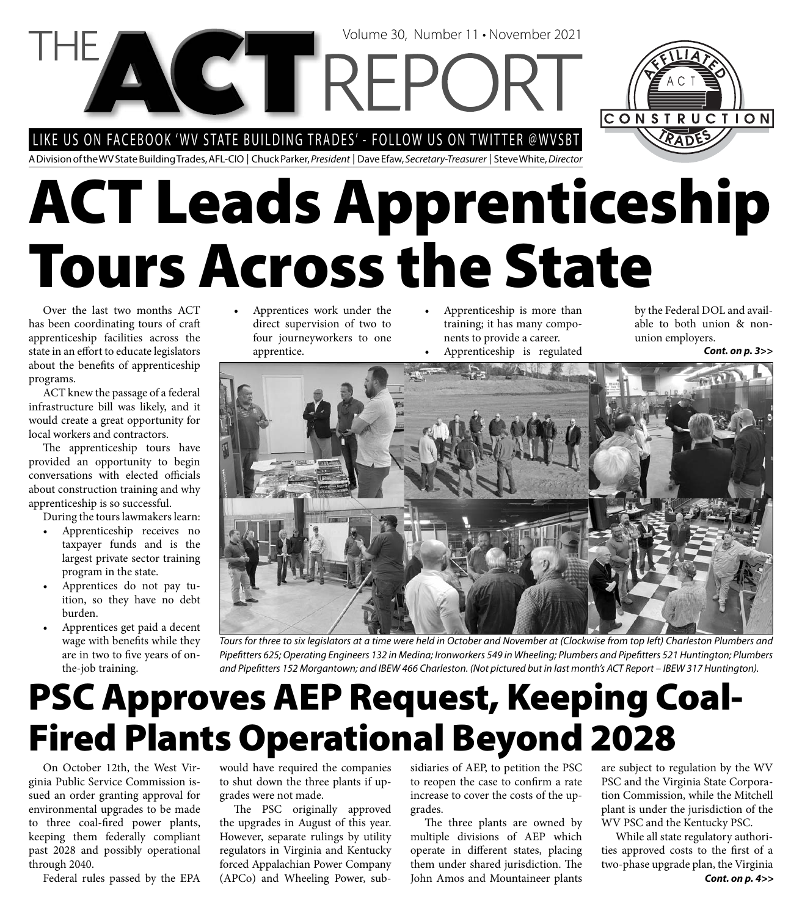LIKE US ON FACEBOOK 'WV STATE BUILDING TRADES' - FOLLOW US ON TWITTER @WVSBT

**VCTREP** 

A Division of the WV State Building Trades, AFL-CIO | Chuck Parker, President | Dave Efaw, Secretary-Treasurer | Steve White, Director

# **ACT Leads Apprenticeship Tours Across the State**

Volume 30, Number 11 • November 2021

Over the last two months ACT has been coordinating tours of craft apprenticeship facilities across the state in an effort to educate legislators about the benefits of apprenticeship programs.

ACT knew the passage of a federal infrastructure bill was likely, and it would create a great opportunity for local workers and contractors.

The apprenticeship tours have provided an opportunity to begin conversations with elected officials about construction training and why apprenticeship is so successful.

During the tours lawmakers learn:

- Apprenticeship receives no taxpayer funds and is the largest private sector training program in the state.
- Apprentices do not pay tuition, so they have no debt burden.
- Apprentices get paid a decent wage with benefits while they are in two to five years of onthe-job training.
- Apprentices work under the direct supervision of two to four journeyworkers to one apprentice.
- Apprenticeship is more than training; it has many components to provide a career.
- Apprenticeship is regulated *Cont. on p. 3>>*

by the Federal DOL and available to both union & nonunion employers.



Tours for three to six legislators at a time were held in October and November at (Clockwise from top left) Charleston Plumbers and Pipefitters 625; Operating Engineers 132 in Medina; Ironworkers 549 in Wheeling; Plumbers and Pipefitters 521 Huntington; Plumbers and Pipefitters 152 Morgantown; and IBEW 466 Charleston. (Not pictured but in last month's ACT Report – IBEW 317 Huntington).

### **PSC Approves AEP Request, Keeping Coal-Fired Plants Operational Beyond 2028**

On October 12th, the West Virginia Public Service Commission issued an order granting approval for environmental upgrades to be made to three coal-fired power plants, keeping them federally compliant past 2028 and possibly operational through 2040.

Federal rules passed by the EPA

would have required the companies to shut down the three plants if upgrades were not made.

The PSC originally approved the upgrades in August of this year. However, separate rulings by utility regulators in Virginia and Kentucky forced Appalachian Power Company (APCo) and Wheeling Power, sub-

sidiaries of AEP, to petition the PSC to reopen the case to confirm a rate increase to cover the costs of the upgrades.

The three plants are owned by multiple divisions of AEP which operate in different states, placing them under shared jurisdiction. The John Amos and Mountaineer plants

are subject to regulation by the WV PSC and the Virginia State Corporation Commission, while the Mitchell plant is under the jurisdiction of the WV PSC and the Kentucky PSC.

*Cont. on p. 4>>* While all state regulatory authorities approved costs to the first of a two-phase upgrade plan, the Virginia

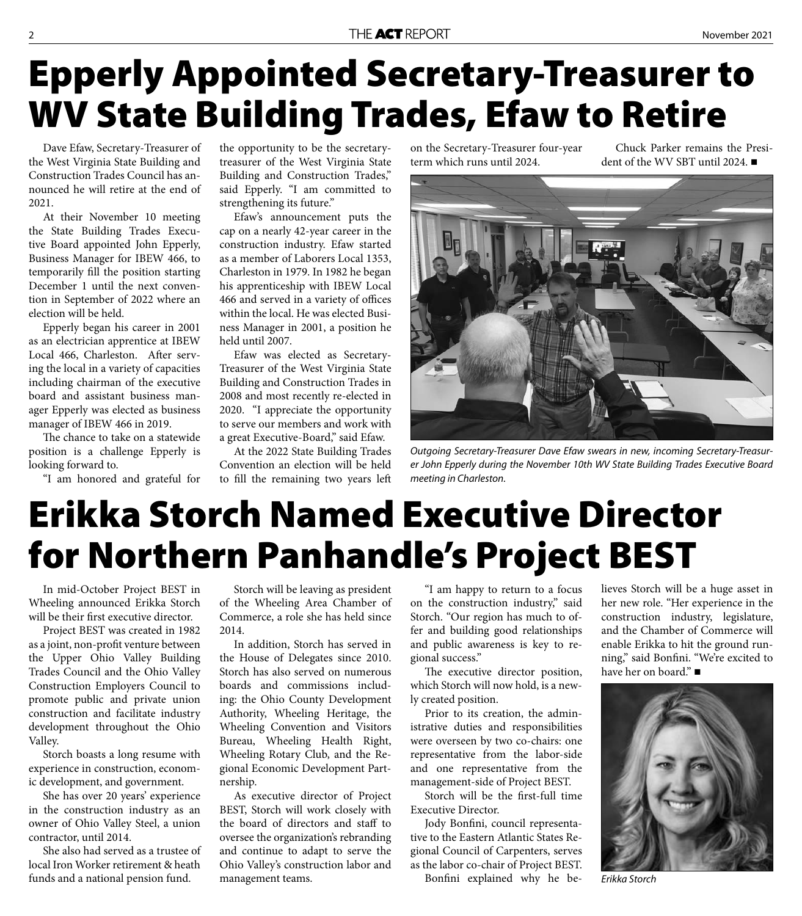#### THE ACT REPORT **EXECUTE ACT REPORT**

### **Epperly Appointed Secretary-Treasurer to WV State Building Trades, Efaw to Retire**

Dave Efaw, Secretary-Treasurer of the West Virginia State Building and Construction Trades Council has announced he will retire at the end of 2021.

At their November 10 meeting the State Building Trades Executive Board appointed John Epperly, Business Manager for IBEW 466, to temporarily fill the position starting December 1 until the next convention in September of 2022 where an election will be held.

Epperly began his career in 2001 as an electrician apprentice at IBEW Local 466, Charleston. After serving the local in a variety of capacities including chairman of the executive board and assistant business manager Epperly was elected as business manager of IBEW 466 in 2019.

The chance to take on a statewide position is a challenge Epperly is looking forward to.

"I am honored and grateful for

the opportunity to be the secretarytreasurer of the West Virginia State Building and Construction Trades," said Epperly. "I am committed to strengthening its future."

Efaw's announcement puts the cap on a nearly 42-year career in the construction industry. Efaw started as a member of Laborers Local 1353, Charleston in 1979. In 1982 he began his apprenticeship with IBEW Local 466 and served in a variety of offices within the local. He was elected Business Manager in 2001, a position he held until 2007.

Efaw was elected as Secretary-Treasurer of the West Virginia State Building and Construction Trades in 2008 and most recently re-elected in 2020. "I appreciate the opportunity to serve our members and work with a great Executive-Board," said Efaw.

At the 2022 State Building Trades Convention an election will be held to fill the remaining two years left on the Secretary-Treasurer four-year term which runs until 2024.

Chuck Parker remains the President of the WV SBT until 2024. ■



Outgoing Secretary-Treasurer Dave Efaw swears in new, incoming Secretary-Treasurer John Epperly during the November 10th WV State Building Trades Executive Board meeting in Charleston.

### **Erikka Storch Named Executive Director for Northern Panhandle's Project BEST**

In mid-October Project BEST in Wheeling announced Erikka Storch will be their first executive director.

Project BEST was created in 1982 as a joint, non-profit venture between the Upper Ohio Valley Building Trades Council and the Ohio Valley Construction Employers Council to promote public and private union construction and facilitate industry development throughout the Ohio Valley.

Storch boasts a long resume with experience in construction, economic development, and government.

She has over 20 years' experience in the construction industry as an owner of Ohio Valley Steel, a union contractor, until 2014.

She also had served as a trustee of local Iron Worker retirement & heath funds and a national pension fund.

Storch will be leaving as president of the Wheeling Area Chamber of Commerce, a role she has held since 2014.

In addition, Storch has served in the House of Delegates since 2010. Storch has also served on numerous boards and commissions including: the Ohio County Development Authority, Wheeling Heritage, the Wheeling Convention and Visitors Bureau, Wheeling Health Right, Wheeling Rotary Club, and the Regional Economic Development Partnership.

As executive director of Project BEST, Storch will work closely with the board of directors and staff to oversee the organization's rebranding and continue to adapt to serve the Ohio Valley's construction labor and management teams.

"I am happy to return to a focus on the construction industry," said Storch. "Our region has much to offer and building good relationships and public awareness is key to regional success."

The executive director position, which Storch will now hold, is a newly created position.

Prior to its creation, the administrative duties and responsibilities were overseen by two co-chairs: one representative from the labor-side and one representative from the management-side of Project BEST.

Storch will be the first-full time Executive Director.

Jody Bonfini, council representative to the Eastern Atlantic States Regional Council of Carpenters, serves as the labor co-chair of Project BEST.

Bonfini explained why he be-

lieves Storch will be a huge asset in her new role. "Her experience in the construction industry, legislature, and the Chamber of Commerce will enable Erikka to hit the ground running," said Bonfini. "We're excited to have her on board."



Erikka Storch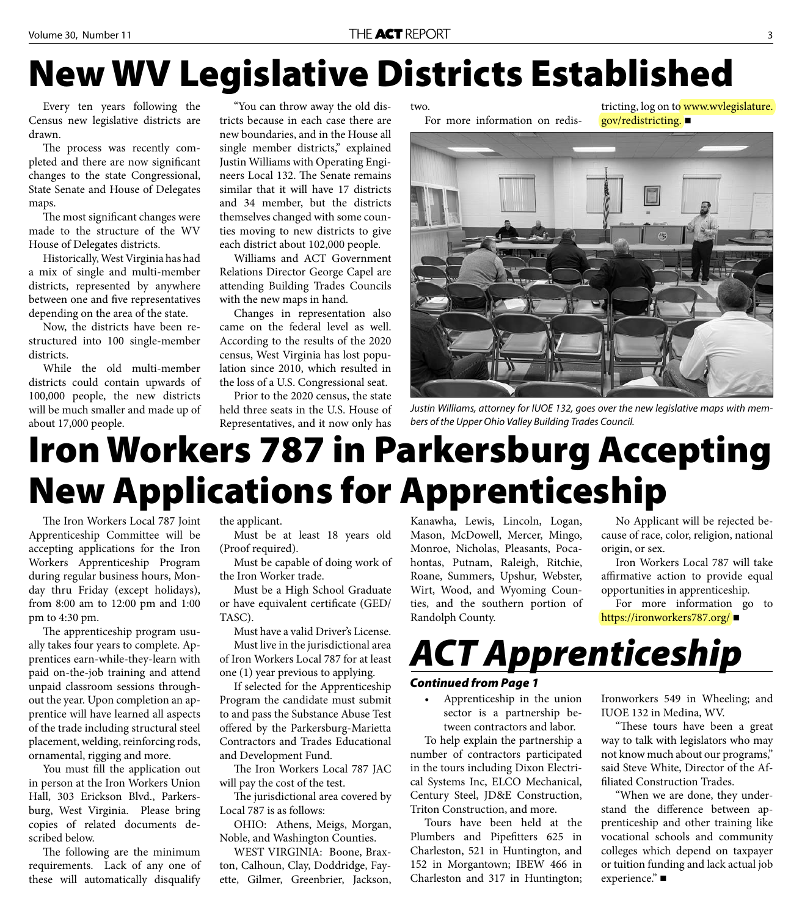### **New WV Legislative Districts Established**

Every ten years following the Census new legislative districts are drawn.

The process was recently completed and there are now significant changes to the state Congressional, State Senate and House of Delegates maps.

The most significant changes were made to the structure of the WV House of Delegates districts.

Historically, West Virginia has had a mix of single and multi-member districts, represented by anywhere between one and five representatives depending on the area of the state.

Now, the districts have been restructured into 100 single-member districts.

While the old multi-member districts could contain upwards of 100,000 people, the new districts will be much smaller and made up of about 17,000 people.

"You can throw away the old districts because in each case there are new boundaries, and in the House all single member districts," explained Justin Williams with Operating Engineers Local 132. The Senate remains similar that it will have 17 districts and 34 member, but the districts themselves changed with some counties moving to new districts to give each district about 102,000 people.

Williams and ACT Government Relations Director George Capel are attending Building Trades Councils with the new maps in hand.

Changes in representation also came on the federal level as well. According to the results of the 2020 census, West Virginia has lost population since 2010, which resulted in the loss of a U.S. Congressional seat.

Prior to the 2020 census, the state held three seats in the U.S. House of Representatives, and it now only has

two. For more information on redis-

tricting, log on to www.wvlegislature. gov/redistricting.



Justin Williams, attorney for IUOE 132, goes over the new legislative maps with members of the Upper Ohio Valley Building Trades Council.

#### **Iron Workers 787 in Parkersburg Accepting New Applications for Apprenticeship**

The Iron Workers Local 787 Joint Apprenticeship Committee will be accepting applications for the Iron Workers Apprenticeship Program during regular business hours, Monday thru Friday (except holidays), from 8:00 am to 12:00 pm and 1:00 pm to 4:30 pm.

The apprenticeship program usually takes four years to complete. Apprentices earn-while-they-learn with paid on-the-job training and attend unpaid classroom sessions throughout the year. Upon completion an apprentice will have learned all aspects of the trade including structural steel placement, welding, reinforcing rods, ornamental, rigging and more.

You must fill the application out in person at the Iron Workers Union Hall, 303 Erickson Blvd., Parkersburg, West Virginia. Please bring copies of related documents described below.

The following are the minimum requirements. Lack of any one of these will automatically disqualify

the applicant.

Must be at least 18 years old (Proof required).

Must be capable of doing work of the Iron Worker trade.

Must be a High School Graduate or have equivalent certificate (GED/ TASC).

Must have a valid Driver's License. Must live in the jurisdictional area of Iron Workers Local 787 for at least one (1) year previous to applying.

If selected for the Apprenticeship Program the candidate must submit to and pass the Substance Abuse Test offered by the Parkersburg-Marietta Contractors and Trades Educational and Development Fund.

The Iron Workers Local 787 JAC will pay the cost of the test.

The jurisdictional area covered by Local 787 is as follows:

OHIO: Athens, Meigs, Morgan, Noble, and Washington Counties.

WEST VIRGINIA: Boone, Braxton, Calhoun, Clay, Doddridge, Fayette, Gilmer, Greenbrier, Jackson, Kanawha, Lewis, Lincoln, Logan, Mason, McDowell, Mercer, Mingo, Monroe, Nicholas, Pleasants, Pocahontas, Putnam, Raleigh, Ritchie, Roane, Summers, Upshur, Webster, Wirt, Wood, and Wyoming Counties, and the southern portion of Randolph County.

No Applicant will be rejected because of race, color, religion, national origin, or sex.

Iron Workers Local 787 will take affirmative action to provide equal opportunities in apprenticeship.

For more information go to https://ironworkers787.org/

#### *ACT Apprenticeship*

#### *Continued from Page 1*

• Apprenticeship in the union sector is a partnership between contractors and labor.

To help explain the partnership a number of contractors participated in the tours including Dixon Electrical Systems Inc, ELCO Mechanical, Century Steel, JD&E Construction, Triton Construction, and more.

Tours have been held at the Plumbers and Pipefitters 625 in Charleston, 521 in Huntington, and 152 in Morgantown; IBEW 466 in Charleston and 317 in Huntington;

Ironworkers 549 in Wheeling; and IUOE 132 in Medina, WV.

"These tours have been a great way to talk with legislators who may not know much about our programs," said Steve White, Director of the Affiliated Construction Trades.

"When we are done, they understand the difference between apprenticeship and other training like vocational schools and community colleges which depend on taxpayer or tuition funding and lack actual job experience." ■